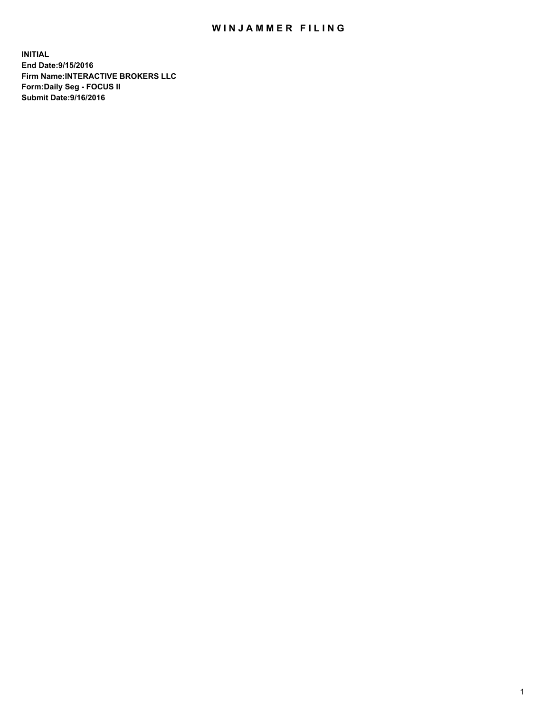## WIN JAMMER FILING

**INITIAL End Date:9/15/2016 Firm Name:INTERACTIVE BROKERS LLC Form:Daily Seg - FOCUS II Submit Date:9/16/2016**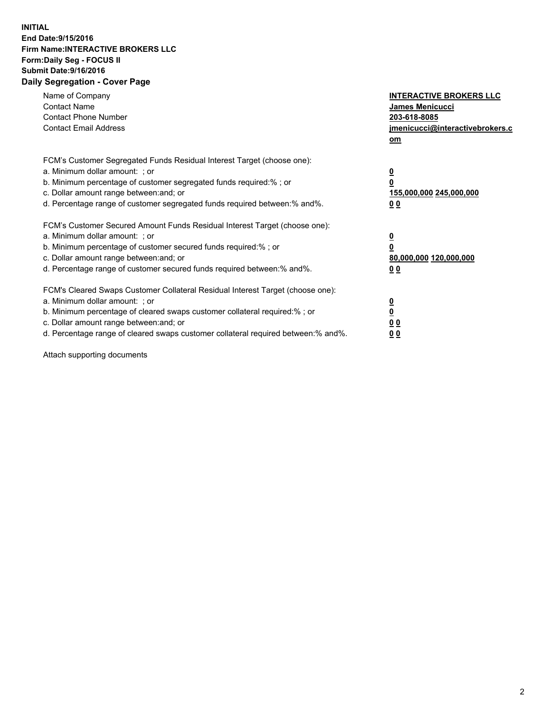## **INITIAL End Date:9/15/2016 Firm Name:INTERACTIVE BROKERS LLC Form:Daily Seg - FOCUS II Submit Date:9/16/2016 Daily Segregation - Cover Page**

| Name of Company<br><b>Contact Name</b><br><b>Contact Phone Number</b><br><b>Contact Email Address</b>                                                                                                                                                                                                                          | <b>INTERACTIVE BROKERS LLC</b><br><b>James Menicucci</b><br>203-618-8085<br>jmenicucci@interactivebrokers.c<br>om |
|--------------------------------------------------------------------------------------------------------------------------------------------------------------------------------------------------------------------------------------------------------------------------------------------------------------------------------|-------------------------------------------------------------------------------------------------------------------|
| FCM's Customer Segregated Funds Residual Interest Target (choose one):<br>a. Minimum dollar amount: ; or<br>b. Minimum percentage of customer segregated funds required:% ; or<br>c. Dollar amount range between: and; or<br>d. Percentage range of customer segregated funds required between: % and %.                       | $\overline{\mathbf{0}}$<br>0<br>155,000,000 245,000,000<br>00                                                     |
| FCM's Customer Secured Amount Funds Residual Interest Target (choose one):<br>a. Minimum dollar amount: ; or<br>b. Minimum percentage of customer secured funds required:%; or<br>c. Dollar amount range between: and; or<br>d. Percentage range of customer secured funds required between: % and %.                          | $\overline{\mathbf{0}}$<br>0<br>80,000,000 120,000,000<br>00                                                      |
| FCM's Cleared Swaps Customer Collateral Residual Interest Target (choose one):<br>a. Minimum dollar amount: ; or<br>b. Minimum percentage of cleared swaps customer collateral required:% ; or<br>c. Dollar amount range between: and; or<br>d. Percentage range of cleared swaps customer collateral required between:% and%. | $\overline{\mathbf{0}}$<br>$\overline{\mathbf{0}}$<br>00<br>0 <sub>0</sub>                                        |

Attach supporting documents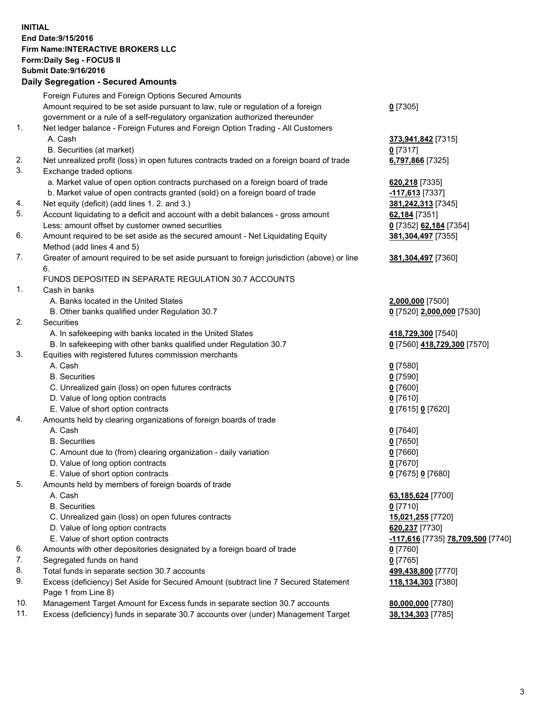## **INITIAL End Date:9/15/2016 Firm Name:INTERACTIVE BROKERS LLC Form:Daily Seg - FOCUS II Submit Date:9/16/2016 Daily Segregation - Secured Amounts**

|                | Daily Jegregation - Jeculed Aniounts                                                        |                                   |
|----------------|---------------------------------------------------------------------------------------------|-----------------------------------|
|                | Foreign Futures and Foreign Options Secured Amounts                                         |                                   |
|                | Amount required to be set aside pursuant to law, rule or regulation of a foreign            | $0$ [7305]                        |
|                | government or a rule of a self-regulatory organization authorized thereunder                |                                   |
| 1.             | Net ledger balance - Foreign Futures and Foreign Option Trading - All Customers             |                                   |
|                | A. Cash                                                                                     | 373,941,842 [7315]                |
|                | B. Securities (at market)                                                                   | $0$ [7317]                        |
| 2.             | Net unrealized profit (loss) in open futures contracts traded on a foreign board of trade   | 6,797,866 [7325]                  |
| 3.             | Exchange traded options                                                                     |                                   |
|                | a. Market value of open option contracts purchased on a foreign board of trade              | 620,218 [7335]                    |
|                | b. Market value of open contracts granted (sold) on a foreign board of trade                | -117,613 [7337]                   |
| 4.             | Net equity (deficit) (add lines 1.2. and 3.)                                                | 381,242,313 [7345]                |
| 5.             | Account liquidating to a deficit and account with a debit balances - gross amount           | 62,184 [7351]                     |
|                | Less: amount offset by customer owned securities                                            | 0 [7352] 62,184 [7354]            |
| 6.             | Amount required to be set aside as the secured amount - Net Liquidating Equity              | 381, 304, 497 [7355]              |
|                | Method (add lines 4 and 5)                                                                  |                                   |
| 7.             | Greater of amount required to be set aside pursuant to foreign jurisdiction (above) or line | 381,304,497 [7360]                |
|                | 6.                                                                                          |                                   |
|                | FUNDS DEPOSITED IN SEPARATE REGULATION 30.7 ACCOUNTS                                        |                                   |
| 1 <sub>1</sub> | Cash in banks                                                                               |                                   |
|                | A. Banks located in the United States                                                       | 2,000,000 [7500]                  |
|                | B. Other banks qualified under Regulation 30.7                                              | 0 [7520] 2,000,000 [7530]         |
| 2.             | Securities                                                                                  |                                   |
|                | A. In safekeeping with banks located in the United States                                   | 418,729,300 [7540]                |
|                | B. In safekeeping with other banks qualified under Regulation 30.7                          | 0 [7560] 418,729,300 [7570]       |
| 3.             | Equities with registered futures commission merchants                                       |                                   |
|                | A. Cash                                                                                     | $0$ [7580]                        |
|                | <b>B.</b> Securities                                                                        | $0$ [7590]                        |
|                | C. Unrealized gain (loss) on open futures contracts                                         | $0$ [7600]                        |
|                | D. Value of long option contracts                                                           | $0$ [7610]                        |
|                | E. Value of short option contracts                                                          | 0 [7615] 0 [7620]                 |
| 4.             | Amounts held by clearing organizations of foreign boards of trade                           |                                   |
|                | A. Cash                                                                                     | $0$ [7640]                        |
|                | <b>B.</b> Securities                                                                        | $0$ [7650]                        |
|                | C. Amount due to (from) clearing organization - daily variation                             | $0$ [7660]                        |
|                | D. Value of long option contracts                                                           | $0$ [7670]                        |
|                | E. Value of short option contracts                                                          | 0 [7675] 0 [7680]                 |
| 5.             | Amounts held by members of foreign boards of trade                                          |                                   |
|                | A. Cash                                                                                     | 63,185,624 [7700]                 |
|                | <b>B.</b> Securities                                                                        | $0$ [7710]                        |
|                | C. Unrealized gain (loss) on open futures contracts                                         | 15,021,255 [7720]                 |
|                | D. Value of long option contracts                                                           | 620,237 [7730]                    |
|                | E. Value of short option contracts                                                          | -117,616 [7735] 78,709,500 [7740] |
| 6.             | Amounts with other depositories designated by a foreign board of trade                      | $0$ [7760]                        |
| 7.             | Segregated funds on hand                                                                    | $0$ [7765]                        |
| 8.             | Total funds in separate section 30.7 accounts                                               | 499,438,800 [7770]                |
| 9.             | Excess (deficiency) Set Aside for Secured Amount (subtract line 7 Secured Statement         | 118,134,303 [7380]                |
|                | Page 1 from Line 8)                                                                         |                                   |
| 10.            | Management Target Amount for Excess funds in separate section 30.7 accounts                 | 80,000,000 [7780]                 |
| 11.            | Excess (deficiency) funds in separate 30.7 accounts over (under) Management Target          | 38,134,303 [7785]                 |
|                |                                                                                             |                                   |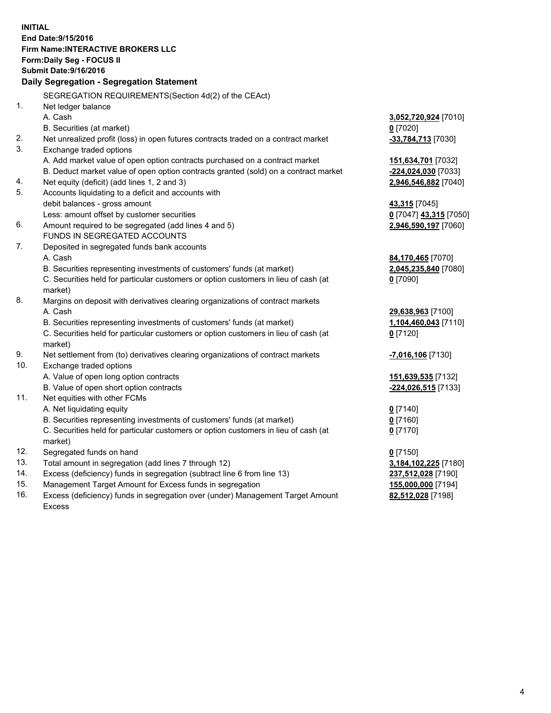**INITIAL End Date:9/15/2016 Firm Name:INTERACTIVE BROKERS LLC Form:Daily Seg - FOCUS II Submit Date:9/16/2016 Daily Segregation - Segregation Statement** SEGREGATION REQUIREMENTS(Section 4d(2) of the CEAct) 1. Net ledger balance A. Cash **3,052,720,924** [7010] B. Securities (at market) **0** [7020] 2. Net unrealized profit (loss) in open futures contracts traded on a contract market **-33,784,713** [7030] 3. Exchange traded options A. Add market value of open option contracts purchased on a contract market **151,634,701** [7032] B. Deduct market value of open option contracts granted (sold) on a contract market **-224,024,030** [7033] 4. Net equity (deficit) (add lines 1, 2 and 3) **2,946,546,882** [7040] 5. Accounts liquidating to a deficit and accounts with debit balances - gross amount **43,315** [7045] Less: amount offset by customer securities **0** [7047] **43,315** [7050] 6. Amount required to be segregated (add lines 4 and 5) **2,946,590,197** [7060] FUNDS IN SEGREGATED ACCOUNTS 7. Deposited in segregated funds bank accounts A. Cash **84,170,465** [7070] B. Securities representing investments of customers' funds (at market) **2,045,235,840** [7080] C. Securities held for particular customers or option customers in lieu of cash (at market) **0** [7090] 8. Margins on deposit with derivatives clearing organizations of contract markets A. Cash **29,638,963** [7100] B. Securities representing investments of customers' funds (at market) **1,104,460,043** [7110] C. Securities held for particular customers or option customers in lieu of cash (at market) **0** [7120] 9. Net settlement from (to) derivatives clearing organizations of contract markets **-7,016,106** [7130] 10. Exchange traded options A. Value of open long option contracts **151,639,535** [7132] B. Value of open short option contracts **-224,026,515** [7133] 11. Net equities with other FCMs A. Net liquidating equity **0** [7140] B. Securities representing investments of customers' funds (at market) **0** [7160] C. Securities held for particular customers or option customers in lieu of cash (at market) **0** [7170] 12. Segregated funds on hand **0** [7150] 13. Total amount in segregation (add lines 7 through 12) **3,184,102,225** [7180] 14. Excess (deficiency) funds in segregation (subtract line 6 from line 13) **237,512,028** [7190] 15. Management Target Amount for Excess funds in segregation **155,000,000** [7194] **82,512,028** [7198]

16. Excess (deficiency) funds in segregation over (under) Management Target Amount Excess